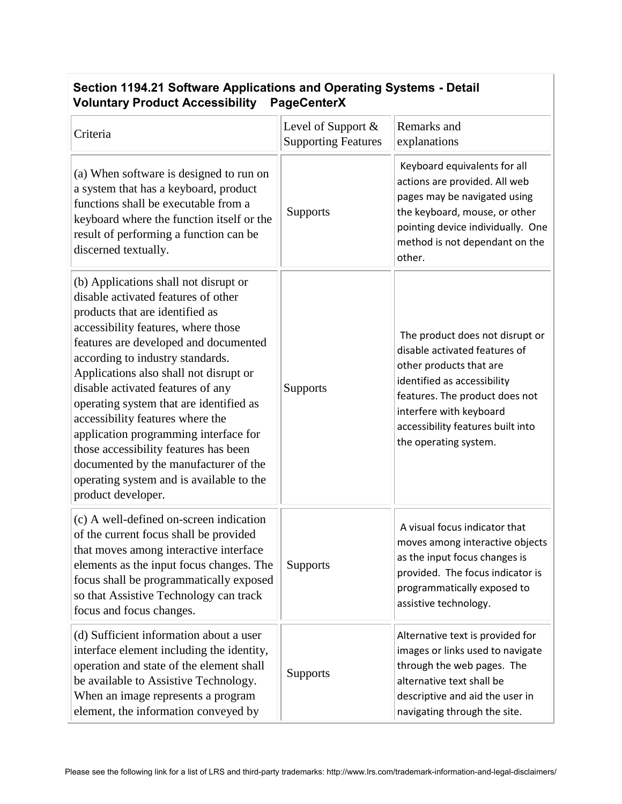## **Section 1194.21 Software Applications and Operating Systems - Detail Voluntary Product Accessibility PageCenterX**

| Criteria                                                                                                                                                                                                                                                                                                                                                                                                                                                                                                                                                                                       | Level of Support &<br><b>Supporting Features</b> | Remarks and<br>explanations                                                                                                                                                                                                                           |
|------------------------------------------------------------------------------------------------------------------------------------------------------------------------------------------------------------------------------------------------------------------------------------------------------------------------------------------------------------------------------------------------------------------------------------------------------------------------------------------------------------------------------------------------------------------------------------------------|--------------------------------------------------|-------------------------------------------------------------------------------------------------------------------------------------------------------------------------------------------------------------------------------------------------------|
| (a) When software is designed to run on<br>a system that has a keyboard, product<br>functions shall be executable from a<br>keyboard where the function itself or the<br>result of performing a function can be<br>discerned textually.                                                                                                                                                                                                                                                                                                                                                        | <b>Supports</b>                                  | Keyboard equivalents for all<br>actions are provided. All web<br>pages may be navigated using<br>the keyboard, mouse, or other<br>pointing device individually. One<br>method is not dependant on the<br>other.                                       |
| (b) Applications shall not disrupt or<br>disable activated features of other<br>products that are identified as<br>accessibility features, where those<br>features are developed and documented<br>according to industry standards.<br>Applications also shall not disrupt or<br>disable activated features of any<br>operating system that are identified as<br>accessibility features where the<br>application programming interface for<br>those accessibility features has been<br>documented by the manufacturer of the<br>operating system and is available to the<br>product developer. | Supports                                         | The product does not disrupt or<br>disable activated features of<br>other products that are<br>identified as accessibility<br>features. The product does not<br>interfere with keyboard<br>accessibility features built into<br>the operating system. |
| (c) A well-defined on-screen indication<br>of the current focus shall be provided<br>that moves among interactive interface<br>elements as the input focus changes. The<br>focus shall be programmatically exposed<br>so that Assistive Technology can track<br>focus and focus changes.                                                                                                                                                                                                                                                                                                       | Supports                                         | A visual focus indicator that<br>moves among interactive objects<br>as the input focus changes is<br>provided. The focus indicator is<br>programmatically exposed to<br>assistive technology.                                                         |
| (d) Sufficient information about a user<br>interface element including the identity,<br>operation and state of the element shall<br>be available to Assistive Technology.<br>When an image represents a program<br>element, the information conveyed by                                                                                                                                                                                                                                                                                                                                        | <b>Supports</b>                                  | Alternative text is provided for<br>images or links used to navigate<br>through the web pages. The<br>alternative text shall be<br>descriptive and aid the user in<br>navigating through the site.                                                    |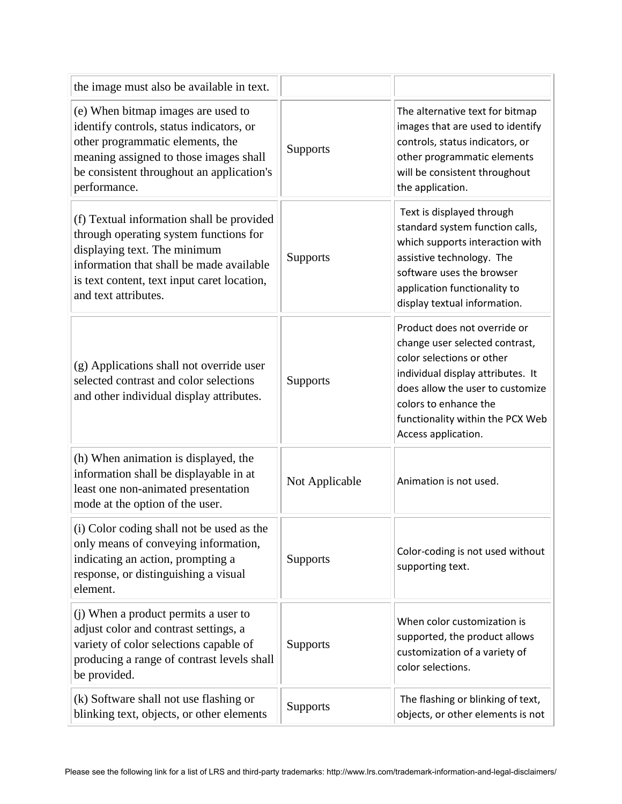| the image must also be available in text.                                                                                                                                                                                              |                |                                                                                                                                                                                                                                                          |
|----------------------------------------------------------------------------------------------------------------------------------------------------------------------------------------------------------------------------------------|----------------|----------------------------------------------------------------------------------------------------------------------------------------------------------------------------------------------------------------------------------------------------------|
| (e) When bitmap images are used to<br>identify controls, status indicators, or<br>other programmatic elements, the<br>meaning assigned to those images shall<br>be consistent throughout an application's<br>performance.              | Supports       | The alternative text for bitmap<br>images that are used to identify<br>controls, status indicators, or<br>other programmatic elements<br>will be consistent throughout<br>the application.                                                               |
| (f) Textual information shall be provided<br>through operating system functions for<br>displaying text. The minimum<br>information that shall be made available<br>is text content, text input caret location,<br>and text attributes. | Supports       | Text is displayed through<br>standard system function calls,<br>which supports interaction with<br>assistive technology. The<br>software uses the browser<br>application functionality to<br>display textual information.                                |
| (g) Applications shall not override user<br>selected contrast and color selections<br>and other individual display attributes.                                                                                                         | Supports       | Product does not override or<br>change user selected contrast,<br>color selections or other<br>individual display attributes. It<br>does allow the user to customize<br>colors to enhance the<br>functionality within the PCX Web<br>Access application. |
| (h) When animation is displayed, the<br>information shall be displayable in at<br>least one non-animated presentation<br>mode at the option of the user.                                                                               | Not Applicable | Animation is not used.                                                                                                                                                                                                                                   |
| (i) Color coding shall not be used as the<br>only means of conveying information,<br>indicating an action, prompting a<br>response, or distinguishing a visual<br>element.                                                             | Supports       | Color-coding is not used without<br>supporting text.                                                                                                                                                                                                     |
| (j) When a product permits a user to<br>adjust color and contrast settings, a<br>variety of color selections capable of<br>producing a range of contrast levels shall<br>be provided.                                                  | Supports       | When color customization is<br>supported, the product allows<br>customization of a variety of<br>color selections.                                                                                                                                       |
| (k) Software shall not use flashing or<br>blinking text, objects, or other elements                                                                                                                                                    | Supports       | The flashing or blinking of text,<br>objects, or other elements is not                                                                                                                                                                                   |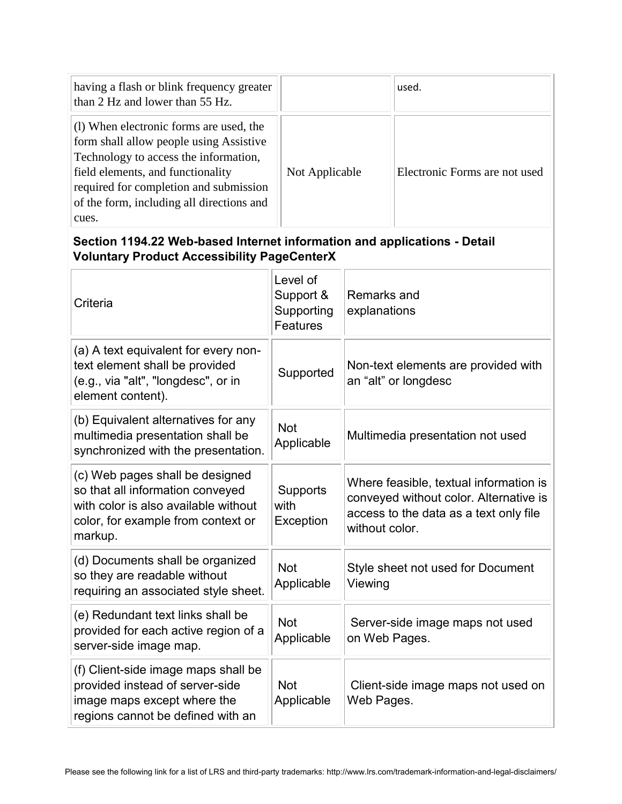| having a flash or blink frequency greater<br>than 2 Hz and lower than 55 Hz.                                                                                                                                                                                     |                | used.                         |
|------------------------------------------------------------------------------------------------------------------------------------------------------------------------------------------------------------------------------------------------------------------|----------------|-------------------------------|
| (1) When electronic forms are used, the<br>form shall allow people using Assistive<br>Technology to access the information,<br>field elements, and functionality<br>required for completion and submission<br>of the form, including all directions and<br>cues. | Not Applicable | Electronic Forms are not used |

## **Section 1194.22 Web-based Internet information and applications - Detail Voluntary Product Accessibility PageCenterX**

| Criteria                                                                                                                                                     | Level of<br>Support &<br>Supporting<br><b>Features</b> | Remarks and<br>explanations                                                                                                                  |
|--------------------------------------------------------------------------------------------------------------------------------------------------------------|--------------------------------------------------------|----------------------------------------------------------------------------------------------------------------------------------------------|
| (a) A text equivalent for every non-<br>text element shall be provided<br>(e.g., via "alt", "longdesc", or in<br>element content).                           | Supported                                              | Non-text elements are provided with<br>an "alt" or longdesc                                                                                  |
| (b) Equivalent alternatives for any<br>multimedia presentation shall be<br>synchronized with the presentation.                                               | <b>Not</b><br>Applicable                               | Multimedia presentation not used                                                                                                             |
| (c) Web pages shall be designed<br>so that all information conveyed<br>with color is also available without<br>color, for example from context or<br>markup. | Supports<br>with<br>Exception                          | Where feasible, textual information is<br>conveyed without color. Alternative is<br>access to the data as a text only file<br>without color. |
| (d) Documents shall be organized<br>so they are readable without<br>requiring an associated style sheet.                                                     | <b>Not</b><br>Applicable                               | Style sheet not used for Document<br>Viewing                                                                                                 |
| (e) Redundant text links shall be<br>provided for each active region of a<br>server-side image map.                                                          | <b>Not</b><br>Applicable                               | Server-side image maps not used<br>on Web Pages.                                                                                             |
| (f) Client-side image maps shall be<br>provided instead of server-side<br>image maps except where the<br>regions cannot be defined with an                   | <b>Not</b><br>Applicable                               | Client-side image maps not used on<br>Web Pages.                                                                                             |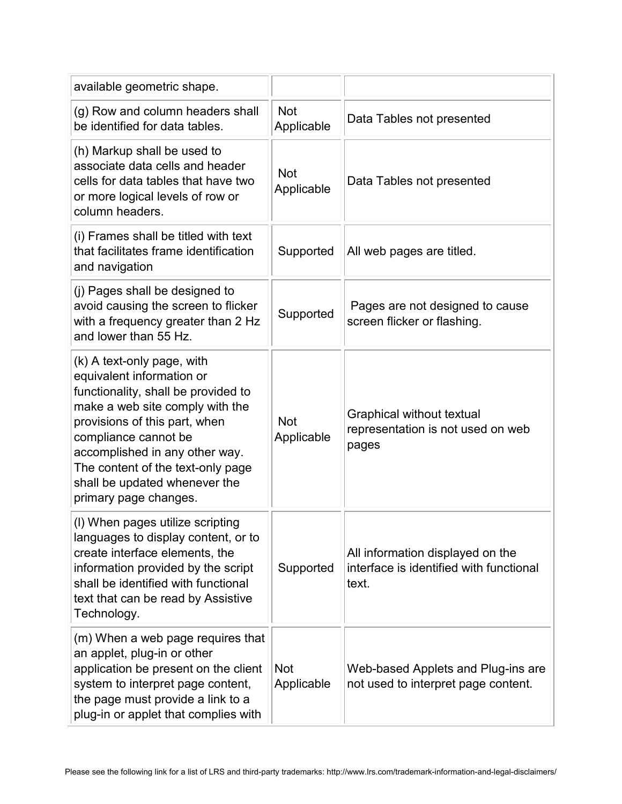| available geometric shape.                                                                                                                                                                                                                                                                                                  |                          |                                                                                      |
|-----------------------------------------------------------------------------------------------------------------------------------------------------------------------------------------------------------------------------------------------------------------------------------------------------------------------------|--------------------------|--------------------------------------------------------------------------------------|
| (g) Row and column headers shall<br>be identified for data tables.                                                                                                                                                                                                                                                          | <b>Not</b><br>Applicable | Data Tables not presented                                                            |
| (h) Markup shall be used to<br>associate data cells and header<br>cells for data tables that have two<br>or more logical levels of row or<br>column headers.                                                                                                                                                                | <b>Not</b><br>Applicable | Data Tables not presented                                                            |
| (i) Frames shall be titled with text<br>that facilitates frame identification<br>and navigation                                                                                                                                                                                                                             | Supported                | All web pages are titled.                                                            |
| (j) Pages shall be designed to<br>avoid causing the screen to flicker<br>with a frequency greater than 2 Hz<br>and lower than 55 Hz.                                                                                                                                                                                        | Supported                | Pages are not designed to cause<br>screen flicker or flashing.                       |
| (k) A text-only page, with<br>equivalent information or<br>functionality, shall be provided to<br>make a web site comply with the<br>provisions of this part, when<br>compliance cannot be<br>accomplished in any other way.<br>The content of the text-only page<br>shall be updated whenever the<br>primary page changes. | <b>Not</b><br>Applicable | Graphical without textual<br>representation is not used on web<br>pages              |
| (I) When pages utilize scripting<br>languages to display content, or to<br>create interface elements, the<br>information provided by the script<br>shall be identified with functional<br>text that can be read by Assistive<br>Technology.                                                                                 | Supported                | All information displayed on the<br>interface is identified with functional<br>text. |
| (m) When a web page requires that<br>an applet, plug-in or other<br>application be present on the client<br>system to interpret page content,<br>the page must provide a link to a<br>plug-in or applet that complies with                                                                                                  | <b>Not</b><br>Applicable | Web-based Applets and Plug-ins are<br>not used to interpret page content.            |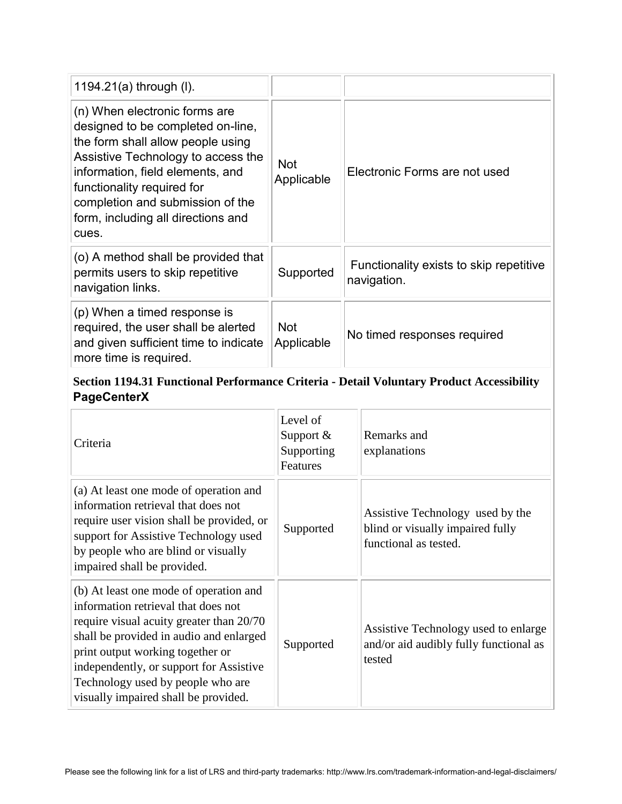| 1194.21(a) through (I).                                                                                                                                                                                                                                                                            |                          |                                                        |
|----------------------------------------------------------------------------------------------------------------------------------------------------------------------------------------------------------------------------------------------------------------------------------------------------|--------------------------|--------------------------------------------------------|
| (n) When electronic forms are<br>designed to be completed on-line,<br>the form shall allow people using<br>Assistive Technology to access the<br>information, field elements, and<br>functionality required for<br>completion and submission of the<br>form, including all directions and<br>cues. | <b>Not</b><br>Applicable | Electronic Forms are not used                          |
| (o) A method shall be provided that<br>permits users to skip repetitive<br>navigation links.                                                                                                                                                                                                       | Supported                | Functionality exists to skip repetitive<br>navigation. |
| (p) When a timed response is<br>required, the user shall be alerted<br>and given sufficient time to indicate<br>more time is required.                                                                                                                                                             | <b>Not</b><br>Applicable | No timed responses required                            |

## **Section 1194.31 Functional Performance Criteria - Detail Voluntary Product Accessibility PageCenterX**

| Criteria                                                                                                                                                                                                                                                                                                                         | Level of<br>Support $&$<br>Supporting<br>Features | Remarks and<br>explanations                                                                   |
|----------------------------------------------------------------------------------------------------------------------------------------------------------------------------------------------------------------------------------------------------------------------------------------------------------------------------------|---------------------------------------------------|-----------------------------------------------------------------------------------------------|
| (a) At least one mode of operation and<br>information retrieval that does not<br>require user vision shall be provided, or<br>support for Assistive Technology used<br>by people who are blind or visually<br>impaired shall be provided.                                                                                        | Supported                                         | Assistive Technology used by the<br>blind or visually impaired fully<br>functional as tested. |
| (b) At least one mode of operation and<br>information retrieval that does not<br>require visual acuity greater than 20/70<br>shall be provided in audio and enlarged<br>print output working together or<br>independently, or support for Assistive<br>Technology used by people who are<br>visually impaired shall be provided. | Supported                                         | Assistive Technology used to enlarge<br>and/or aid audibly fully functional as<br>tested      |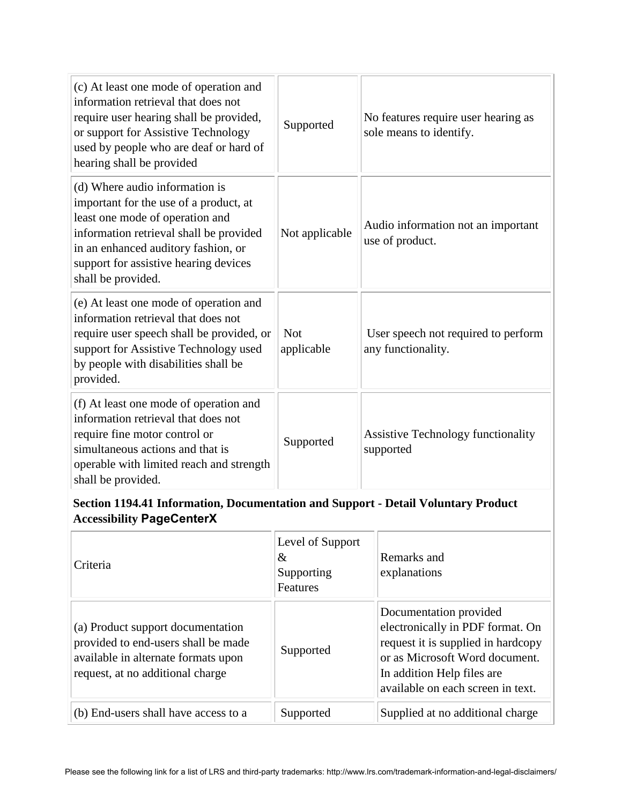| (c) At least one mode of operation and<br>information retrieval that does not<br>require user hearing shall be provided,<br>or support for Assistive Technology<br>used by people who are deaf or hard of<br>hearing shall be provided                       | Supported                | No features require user hearing as<br>sole means to identify. |
|--------------------------------------------------------------------------------------------------------------------------------------------------------------------------------------------------------------------------------------------------------------|--------------------------|----------------------------------------------------------------|
| (d) Where audio information is<br>important for the use of a product, at<br>least one mode of operation and<br>information retrieval shall be provided<br>in an enhanced auditory fashion, or<br>support for assistive hearing devices<br>shall be provided. | Not applicable           | Audio information not an important<br>use of product.          |
| (e) At least one mode of operation and<br>information retrieval that does not<br>require user speech shall be provided, or<br>support for Assistive Technology used<br>by people with disabilities shall be<br>provided.                                     | <b>Not</b><br>applicable | User speech not required to perform<br>any functionality.      |
| (f) At least one mode of operation and<br>information retrieval that does not<br>require fine motor control or<br>simultaneous actions and that is<br>operable with limited reach and strength<br>shall be provided.                                         | Supported                | <b>Assistive Technology functionality</b><br>supported         |

## **Section 1194.41 Information, Documentation and Support - Detail Voluntary Product Accessibility PageCenterX**

| Criteria                                                                                                                                            | Level of Support<br>&<br>Supporting<br><b>Features</b> | Remarks and<br>explanations                                                                                                                                                                            |
|-----------------------------------------------------------------------------------------------------------------------------------------------------|--------------------------------------------------------|--------------------------------------------------------------------------------------------------------------------------------------------------------------------------------------------------------|
| (a) Product support documentation<br>provided to end-users shall be made<br>available in alternate formats upon<br>request, at no additional charge | Supported                                              | Documentation provided<br>electronically in PDF format. On<br>request it is supplied in hardcopy<br>or as Microsoft Word document.<br>In addition Help files are.<br>available on each screen in text. |
| (b) End-users shall have access to a                                                                                                                | Supported                                              | Supplied at no additional charge                                                                                                                                                                       |